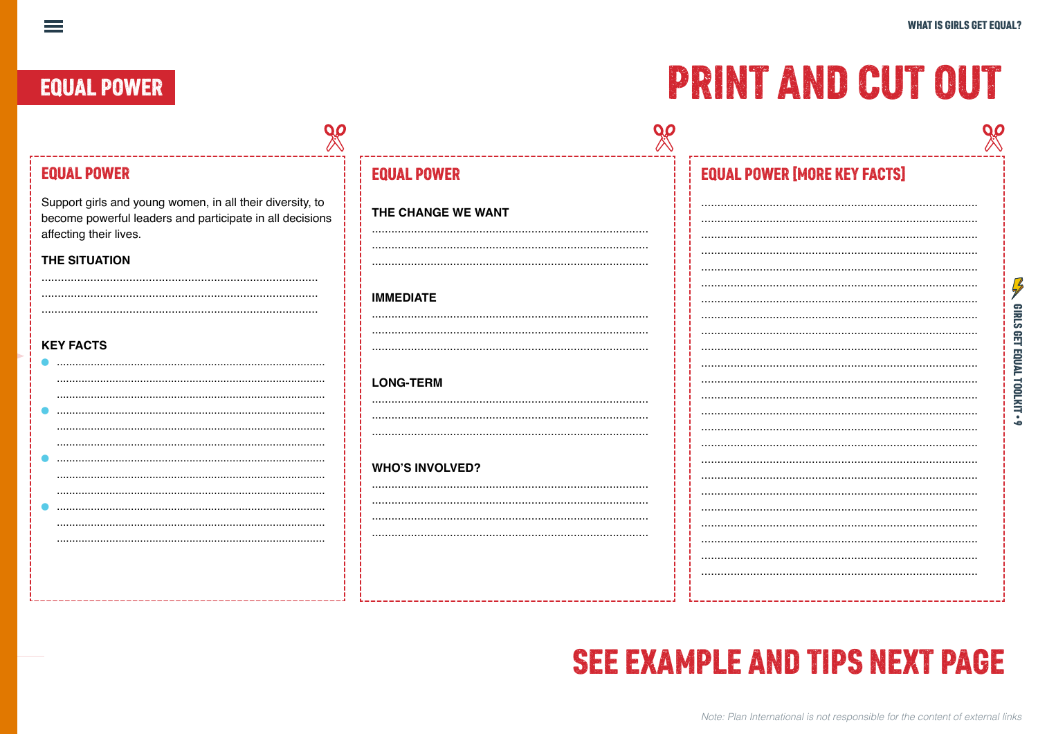### **EQUAL POWER**

 $\equiv$ 

## **PRINT AND CUT OUT**

| <b>EQUAL POWER</b>                                                                                                                              | <b>EQUAL POWER</b>     | <b>EQUAL POWER [MORE KEY FACTS]</b> |                  |
|-------------------------------------------------------------------------------------------------------------------------------------------------|------------------------|-------------------------------------|------------------|
| Support girls and young women, in all their diversity, to<br>become powerful leaders and participate in all decisions<br>affecting their lives. | THE CHANGE WE WANT     |                                     |                  |
| THE SITUATION                                                                                                                                   |                        |                                     |                  |
|                                                                                                                                                 | <b>IMMEDIATE</b>       |                                     |                  |
| <b>KEY FACTS</b>                                                                                                                                |                        |                                     | <b>GIRLS GET</b> |
|                                                                                                                                                 | <b>LONG-TERM</b>       |                                     | EQUAL            |
|                                                                                                                                                 |                        |                                     | LINTIOOL         |
|                                                                                                                                                 |                        |                                     |                  |
|                                                                                                                                                 | <b>WHO'S INVOLVED?</b> |                                     |                  |
|                                                                                                                                                 |                        |                                     |                  |
|                                                                                                                                                 |                        |                                     |                  |
|                                                                                                                                                 |                        |                                     |                  |
|                                                                                                                                                 |                        |                                     |                  |

## **SEE EXAMPLE AND TIPS NEXT PAGE**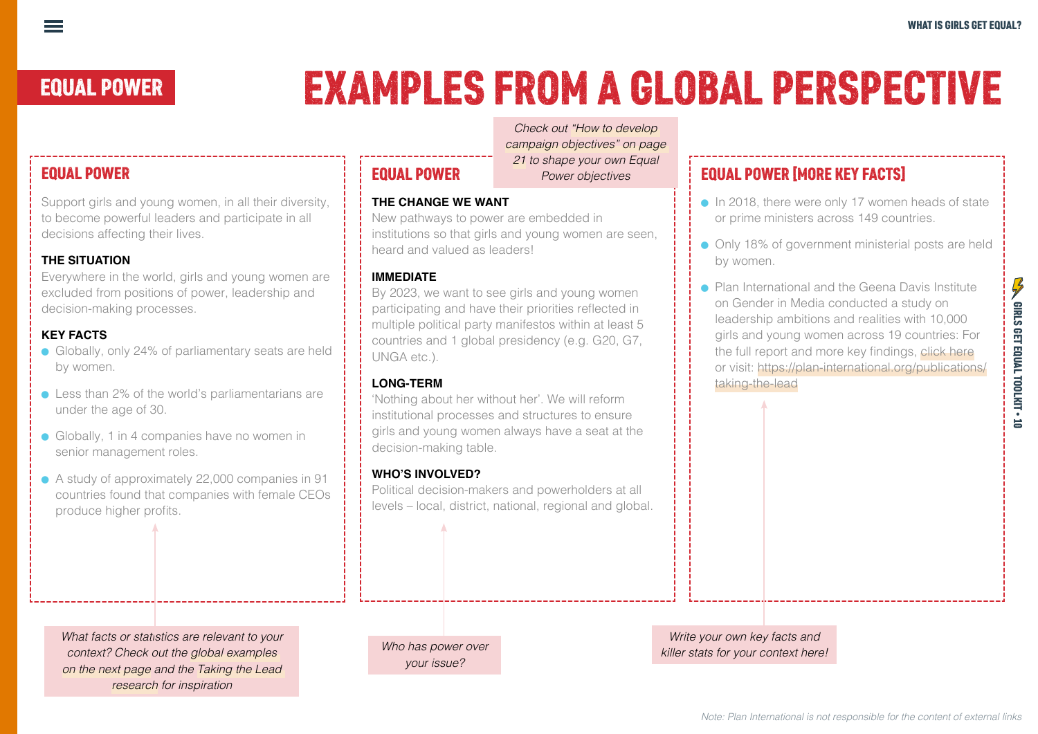# EQUAL POWER EXAMPLES FROM A GLOBAL PERSPECTIVE

#### EQUAL POWER

Support girls and young women, in all their diversity, to become powerful leaders and participate in all decisions affecting their lives.

#### **THE SITUATION**

Everywhere in the world, girls and young women are excluded from positions of power, leadership and decision-making processes.

#### **KEY FACTS**

- Globally, only 24% of parliamentary seats are held by women.
- Less than 2% of the world's parliamentarians are under the age of 30.
- Globally, 1 in 4 companies have no women in senior management roles.
- A study of approximately 22,000 companies in 91 countries found that companies with female CEOs produce higher profits.

*Check out "How to develop campaign objectives" on page 21 to shape your own Equal Power objectives*

### EQUAL POWER

#### **THE CHANGE WE WANT**

New pathways to power are embedded in institutions so that girls and young women are seen, heard and valued as leaders!

#### **IMMEDIATE**

By 2023, we want to see girls and young women participating and have their priorities reflected in multiple political party manifestos within at least 5 countries and 1 global presidency (e.g. G20, G7, UNGA etc.).

#### **LONG-TERM**

'Nothing about her without her'. We will reform institutional processes and structures to ensure girls and young women always have a seat at the decision-making table.

#### **WHO'S INVOLVED?**

Political decision-makers and powerholders at all levels – local, district, national, regional and global.

#### EQUAL POWER [MORE KEY FACTS]

- In 2018, there were only 17 women heads of state or prime ministers across 149 countries.
- Only 18% of government ministerial posts are held by women.
- <sup>ā</sup> Plan International and the Geena Davis Institute on Gender in Media conducted a study on leadership ambitions and realities with 10,000 girls and young women across 19 countries: For the full report and more key findings, click [here](https://plan-international.org/publications/taking-the-lead) or visit: [https://plan-international.org/publications/](https://plan-international.org/publications/taking-the-lead) [taking-the-lead](https://plan-international.org/publications/taking-the-lead)

*What facts or statistics are relevant to your context? Check out the global examples on the next page and the [Taking the Lead](https://plan-international.org/publications/taking-the-lead)  [research](https://plan-international.org/publications/taking-the-lead) for inspiration*

| Who has power over |  |
|--------------------|--|
| your issue?        |  |

*Write your own key facts and killer stats for your context here!*